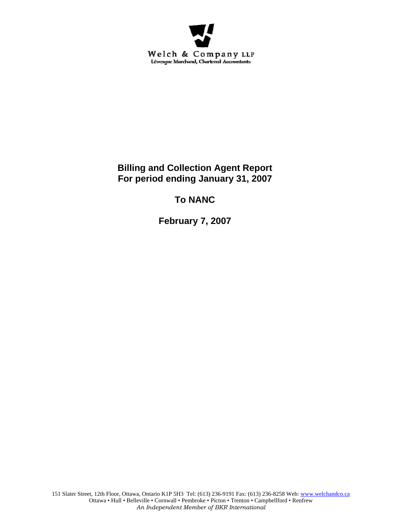

**Billing and Collection Agent Report For period ending January 31, 2007** 

**To NANC** 

**February 7, 2007**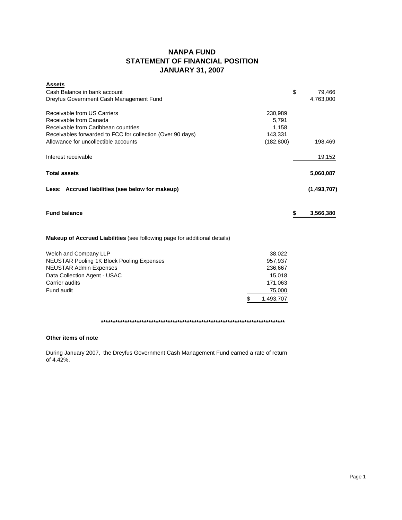# **NANPA FUND STATEMENT OF FINANCIAL POSITION JANUARY 31, 2007**

| <b>Assets</b><br>Cash Balance in bank account<br>Dreyfus Government Cash Management Fund                                                                                                           |                                                                                | \$<br>79,466<br>4,763,000 |
|----------------------------------------------------------------------------------------------------------------------------------------------------------------------------------------------------|--------------------------------------------------------------------------------|---------------------------|
| Receivable from US Carriers<br>Receivable from Canada<br>Receivable from Caribbean countries<br>Receivables forwarded to FCC for collection (Over 90 days)<br>Allowance for uncollectible accounts | 230,989<br>5,791<br>1,158<br>143,331                                           | 198,469                   |
| Interest receivable                                                                                                                                                                                | (182, 800)                                                                     | 19,152                    |
| <b>Total assets</b>                                                                                                                                                                                |                                                                                | 5,060,087                 |
| Less: Accrued liabilities (see below for makeup)                                                                                                                                                   |                                                                                | (1,493,707)               |
| <b>Fund balance</b>                                                                                                                                                                                |                                                                                | \$<br>3,566,380           |
| <b>Makeup of Accrued Liabilities</b> (see following page for additional details)                                                                                                                   |                                                                                |                           |
| Welch and Company LLP<br><b>NEUSTAR Pooling 1K Block Pooling Expenses</b><br><b>NEUSTAR Admin Expenses</b><br>Data Collection Agent - USAC<br>Carrier audits<br>Fund audit                         | 38,022<br>957,937<br>236,667<br>15,018<br>171,063<br>75,000<br>\$<br>1,493,707 |                           |

## **\*\*\*\*\*\*\*\*\*\*\*\*\*\*\*\*\*\*\*\*\*\*\*\*\*\*\*\*\*\*\*\*\*\*\*\*\*\*\*\*\*\*\*\*\*\*\*\*\*\*\*\*\*\*\*\*\*\*\*\*\*\*\*\*\*\*\*\*\*\*\*\*\*\*\*\*\***

## **Other items of note**

During January 2007, the Dreyfus Government Cash Management Fund earned a rate of return of 4.42%.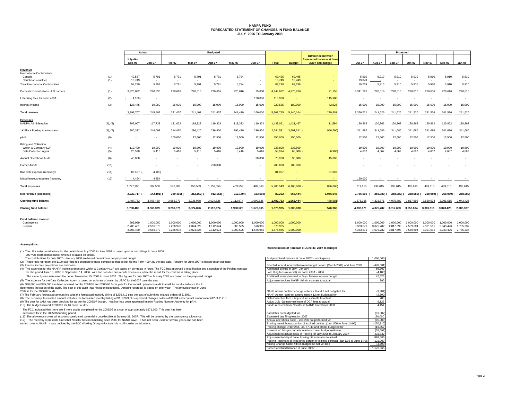#### **NANPA FUND FORECASTED STATEMENT OF CHANGES IN FUND BALANCEJULY 2006 TO January 2008**

|                                          |          | Actual        |               | <b>Budgeted</b>          |           |           |           |               |              |               | Projected                  |               |                |           |            |                          |               |           |
|------------------------------------------|----------|---------------|---------------|--------------------------|-----------|-----------|-----------|---------------|--------------|---------------|----------------------------|---------------|----------------|-----------|------------|--------------------------|---------------|-----------|
|                                          |          |               |               |                          |           |           |           |               |              |               | <b>Difference between</b>  |               |                |           |            |                          |               |           |
|                                          |          | July-06 -     |               |                          |           |           |           |               |              |               | forecasted balance at June |               |                |           |            |                          |               |           |
|                                          |          | <b>Dec-06</b> | <b>Jan-07</b> | Feb-07                   | Mar-07    | Apr-07    | May-07    | <b>Jun-07</b> | <b>Total</b> | <b>Budget</b> | 30/07 and budget           | <b>Jul-07</b> | Aug-07         | Sep-07    | Oct-07     | Nov-07                   | <b>Dec-07</b> | Jan-08    |
|                                          |          |               |               |                          |           |           |           |               |              |               |                            |               |                |           |            |                          |               |           |
| Revenue                                  |          |               |               |                          |           |           |           |               |              |               |                            |               |                |           |            |                          |               |           |
| International Contributions              |          |               |               |                          |           |           |           |               |              |               |                            |               |                |           |            |                          |               |           |
| Canada                                   | (1)      | 40,537        | 5,791         | 5,791                    | 5,791     | 5,791     | 5,794     |               | 69,495       | 69,495        |                            |               | 5.910<br>5,910 | 5,910     | 5,910      | 5,910                    | 5,910         | 5,910     |
| Caribbean countries                      | (1)      | 13,743        | $\sim$        | $\overline{\phantom{a}}$ |           | $\sim$    | $\sim$    | - 1           | 13.743       | 13,743        | $\sim$                     | 13.849        |                | $\sim$    |            | $\overline{\phantom{a}}$ | $\sim$        | $\sim$    |
| <b>Total International Contributions</b> |          | 54.280        | 5.791         | 5,791                    | 5.791     | 5.791     | 5,794     | $\sim$        | 83.238       | 83,238        |                            | 19.759        | 5.910          | 5.910     | 5.910      | 5.910                    | 5,910         | 5,910     |
| Domestic Contributions - US carriers     | (1)      | 3.820.082     | 220,536       | 220,616                  | 220,616   | 220,616   | 220,616   | 25,000        | 4,948,082    | 4,876,926     | 71,156                     | 3,341,762     | 220,616        | 220,616   | 220,616    | 220,616                  | 220,616       | 220,616   |
| Late filing fees for Form 499A           | (2)      | 4,100)        | $\sim$        |                          |           |           |           | 120,000       | 115,900      |               | 115,900                    |               |                |           |            |                          |               |           |
| Interest income                          | (3)      | 128,445       | 19,080        | 15,000                   | 15,000    | 15,000    | 15,000    | 15,000        | 222,525      | 180,000       | 42,525                     | 15,000        | 15,000         | 15,000    | 15,000     | 15,000                   | 15,000        | 15,000    |
|                                          |          |               |               |                          |           |           |           |               |              |               |                            |               |                |           |            |                          |               |           |
| <b>Total revenue</b>                     |          | 3.998.707     | 245.407       | 241,407                  | 241.407   | 241.407   | 241.410   | 160,000       | 5.369.745    | 5.140.164     | 229.581                    | 3.376.521     | 241.526        | 241.526   | 241.526    | 241.526                  | 241.526       | 241,526   |
|                                          |          |               |               |                          |           |           |           |               |              |               |                            |               |                |           |            |                          |               |           |
| <b>Expenses</b>                          |          |               |               |                          |           |           |           |               |              |               |                            |               |                |           |            |                          |               |           |
| <b>NANPA Administration</b>              | (4), (8) | 707.007       | 117,739       | 131,022                  | 119,323   | 119,323   | 119,323   | 119,324       | 1,433,061    | 1,421,467     | 11,594                     | 120,862       | 120,862        | 120,862   | 120,862    | 120,862                  | 120,862       | 120,862   |
|                                          |          |               |               |                          |           |           |           |               |              |               |                            |               |                |           |            |                          |               |           |
| 1K Block Pooling Administration          | (4), (7) | 800,332       | 244,099       | 314,470                  | 296,420   | 296,420   | 296,420   | 296,420       | 2,544,581    | 3,501,341 (   | 956,760)                   | 341,686       | 341,686        | 341,686   | 341,686    | 341,686                  | 341,686       | 341,686   |
| pANI                                     | (9)      |               |               | 100,000                  | 12,500    | 12,500    | 12,500    | 12,500        | 150,000      | 150,000       |                            | 12,500        | 12,500         | 12,500    | 12,500     | 12,500                   | 12,500        | 12,500    |
|                                          |          |               |               |                          |           |           |           |               |              |               |                            |               |                |           |            |                          |               |           |
| <b>Billing and Collection</b>            |          |               |               |                          |           |           |           |               |              |               |                            |               |                |           |            |                          |               |           |
| Welch & Company LLP                      | (4)      | 119,400       | 19,900        | 19,900                   | 19,900    | 19,900    | 19,900    | 19,900        | 238,800      | 238,800       |                            | 19,900        | 19,900         | 19,900    | 19,900     | 19,900                   | 19,900        | 19,900    |
| Data Collection Agent                    | (5)      | 25,598        | 5,416         | 5,416                    | 5,416     | 5,416     | 5,416     | 5,416         | 58,094       | 65,000 (      | 6,906                      | 4,667         | 4,667          | 4,667     | 4,667      | 4,667                    | 4,667         | 4,667     |
|                                          |          |               |               |                          |           |           |           |               |              |               |                            |               |                |           |            |                          |               |           |
| <b>Annual Operations Audit</b>           | (6)      | 45,000        |               | $\sim$                   |           |           | $\sim$    | 30,000        | 75,000       | 30,000        | 45,000                     |               |                |           |            |                          |               |           |
| <b>Carrier Audits</b>                    | (10)     | ٠.            |               |                          |           | 700,000   |           |               | 700,000      | 700,000       |                            |               |                |           |            |                          |               |           |
|                                          |          |               |               |                          |           |           |           |               |              |               |                            |               |                |           |            |                          |               |           |
| Bad debt expense (recovery)              | (11)     | 85,107        | 4,100)        |                          |           |           |           |               | 81,007       |               | 81,007                     |               |                |           |            |                          |               |           |
|                                          |          |               |               |                          |           |           |           |               |              |               |                            |               |                |           |            |                          |               |           |
| Miscellaneous expense (recovery          | (12)     | 4,454)        | 4,454         |                          |           |           |           |               |              |               | $\sim$                     | 120,000       |                |           |            |                          |               |           |
|                                          |          |               |               |                          |           |           |           |               |              |               |                            |               |                |           |            |                          |               |           |
| <b>Total expenses</b>                    |          | 1,777,990     | 387,508       | 570,808                  | 453,559   | 1,153,559 | 453,559   | 483,560       | 5,280,543    | 6,106,608     | 826,065)                   | 619,615       | 499,615        | 499,615   | 499,615    | 499,615                  | 499,615       | 499,615   |
|                                          |          |               |               |                          |           |           |           |               |              |               |                            |               |                |           |            |                          |               |           |
| Net revenue (expenses)                   |          | 2,220,717     | 142,101)      | 329,401) (               | 212,152)  | 912, 152) | 212,149)  | 323,560)      | 89,202       | 966,444)      | 1,055,646                  | 2,756,906     | 258,089) (     | 258,089)  | 258,089) ( | 258.089) (               | 258,089) (    | 258,089)  |
| Opening fund balance                     |          | 1,487,763     | 3,708,480     | 3.566.379                | 3,236,978 | 3.024.826 | 2.112.674 | 1,900,525     | 1,487,763    | 1,966,444     | 478,681)                   | 1,576,965     | 4.333.871      | 4.075.782 | 3,817,693  | 3.559.604                | 3,301,515     | 3,043,426 |
|                                          |          |               |               |                          |           |           |           |               |              |               |                            |               |                |           |            |                          |               |           |
| <b>Closing fund balance</b>              |          | 3,708,480     | 3,566,379     | 3,236,978                | 3,024,826 | 2,112,674 | 1,900,525 | 1,576,965     | 1,576,965    | 1,000,000     | 576,965                    | 4,333,871     | 4,075,782      | 3,817,693 | 3,559,604  | 3,301,515                | 3,043,426     | 2,785,337 |
|                                          |          |               |               |                          |           |           |           |               |              |               |                            |               |                |           |            |                          |               |           |
| Fund balance makeup:                     |          |               |               |                          |           |           |           |               |              |               |                            |               |                |           |            |                          |               |           |
| Contingency                              |          | 999.999       | 1,000,000     | 1,000,000                | 1,000,000 | 1,000,000 | 1,000,000 | 1,000,000     | 1,000,000    | 1,000,000     |                            | 1.000.000     | 1.000.000      | 1.000.000 | 1.000.000  | 1.000.000                | 1,000,000     | 1,000,000 |
| Surplus                                  |          | 2,708,481     | 2,566,379     | 2.236.978                | 2,024,826 | 1,112,674 | 900,525   | 576.965       | 576,965      |               |                            | 3.333.871     | 3,075,782      | 2.817.693 | 2.559.604  | 2,301,515                | 2,043,426     | 1,785,337 |
|                                          |          | 3,708,480     | 3.566.379     | 3.236.978                | 3.024.826 | 2.112.674 | 1.900.525 | 1.576.965     | 1.576.965    | 1.000.000     |                            | 4.333.871     | 4,075,782      | 3.817.693 | 3.559.604  | 3.301.515                | 3.043.426     | 2.785.337 |

#### **Assumptions:**

(1) The US carrier contributions for the period from July 2006 to June 2007 is based upon actual billings in June 2006. 2007/08 International carrier revenue is based on actual.

The contributions for July 2007 - January 2008 are based on estimate per proposed budget.

#### **Reconciliation of Forecast at June 30, 2007 to Budget**

| The contributions for July 2007 - January 2008 are based on estimate per proposed budget.                                                                                                                                                                                                                   | Budgeted fund balance at June 30/07 - contingency                                      | 1.000.000  |
|-------------------------------------------------------------------------------------------------------------------------------------------------------------------------------------------------------------------------------------------------------------------------------------------------------------|----------------------------------------------------------------------------------------|------------|
| (2) These fees represent the \$100 late filing fee charged to those companies that do not file the Form 499A by the due date. Amount for June 2007 is based on an estimate.                                                                                                                                 |                                                                                        |            |
| (3) Interest income projections are estimates                                                                                                                                                                                                                                                               | Shortfall in fund incurred between budget period (March 2006) and June 2006            | (478, 681) |
| (4) The expenses for the NANPA Administration and Welch & Company LLP are based on contracts in force. The FCC has approved a modification and extension of the Pooling contract                                                                                                                            | Additional billings in July - January                                                  | 66.702     |
| for the period June 15, 2006 to September 14, 2006. with two possible one-month extensions, while the re-bid for the contract is taking place.                                                                                                                                                              | Late filing fees (reversal) for Form 499A - 2006                                       | (4, 100)   |
| The same figures were used the period November 15, 2006 to June 2007. The figures for July 2007 to January 2008 are based on the proposed budget.                                                                                                                                                           | Additional interest earned in July - November over budget                              | 42.525     |
| (5) The expense for the Data Collection Agent is based on estimate of costs by USAC for the 2007 calendar year.                                                                                                                                                                                             | Adjustment to June NANP Admin estimate to actual                                       | 890        |
| (6) \$30,000 and \$45,000 has been accrued for the 2004/05 and 2005/06 fiscal year for the annual operations audit that will be conducted once the F<br>determines the scope of the audit. The cost of this audit has not been negotiated. Amount recorded is based on prior year. The amount shown in June |                                                                                        |            |
| 2007 is for the 2006/07 audit.                                                                                                                                                                                                                                                                              | NANP Admin contract change orders # 8 and 9 not budgeted for                           | (9.984)    |
| (7) The February forecasted amount includes the forecasted monthly billing of \$296,419 plus the cost of submitted change orders of \$18051                                                                                                                                                                 | NANP Admin contract amendment #12 not budgeted for                                     | (2,500)    |
| (8) The February forecasted amount includes the forecasted monthly billing of \$119,323 plus approved changes orders of \$9984 and contract amendment #12 of \$1715                                                                                                                                         | Data Collection fees - Adjust June estimate to actual                                  | 783        |
| (9) The cost for pANI has been provided for as per the 2006/07 budget. NeuStar has been appointed Interim Routing Number Authority for pANI.                                                                                                                                                                | Adjust July -January estimate of DCA fees to actual                                    | 6.123      |
| (10) The budget allowed \$700,000 for 16 carrier audits.                                                                                                                                                                                                                                                    | Funds received from Neustar re NANC travel from 2000                                   | 4,454      |
| The FCC indicated that there are 3 more audits completed for the 2005/06 at a cost of approximately \$171,000. This cost has been                                                                                                                                                                           |                                                                                        |            |
| accounted for in the 2005/06 funding period.                                                                                                                                                                                                                                                                | Bad debts not budgeted for                                                             | (81.007)   |
| (11) The allowance covers all accounts considered potentially uncollectible at January 31, 2007. This will be covered by the contingency allowance.                                                                                                                                                         | Estimated late filing fees for 2007                                                    | 120,000    |
| (12) The recovery represents funds that Neustar has been holding since 2000 for NANC travel. It has not been used for several years and has been                                                                                                                                                            | Annual operations audit - 2005/06 not performed vet                                    | (45.000)   |
| turned over to NANP. It was decided by the B&C Working Group to include this in US carrier contributions.                                                                                                                                                                                                   | Pooling - merit bonus portion of expired contract (Jan 1/06 to June 14/06)             | (170.310)  |
|                                                                                                                                                                                                                                                                                                             | Pooling change Order #43, 46, 47, 49 and 50 not budgeted for                           | (13.857)   |
|                                                                                                                                                                                                                                                                                                             | Increase of bridge contracts maximum over budget estimate                              | (55.692)   |
|                                                                                                                                                                                                                                                                                                             | Adjustment to actual costs of Pooling for July 2006 to January 2007                    | 433.832    |
|                                                                                                                                                                                                                                                                                                             | Adjustment to May & June Pooling bill estimates to actual                              | 888,580    |
|                                                                                                                                                                                                                                                                                                             | Pooling - estimate of fixed price portion of expired contract (Jan 1/06 to June 14/06) | (121.000)  |
|                                                                                                                                                                                                                                                                                                             | Pooling Change Order #44 in budget but not yet bille                                   | (4, 793)   |
|                                                                                                                                                                                                                                                                                                             | Forecasted fund balance at June 30/07                                                  | 1.576.965  |
|                                                                                                                                                                                                                                                                                                             |                                                                                        |            |